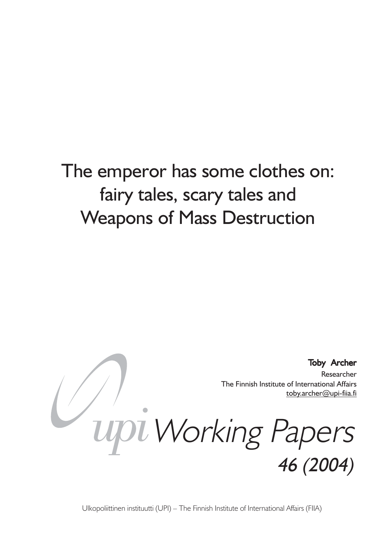# The emperor has some clothes on: fairy tales, scary tales and Weapons of Mass Destruction



Ulkopoliittinen instituutti (UPI) – The Finnish Institute of International Affairs (FIIA)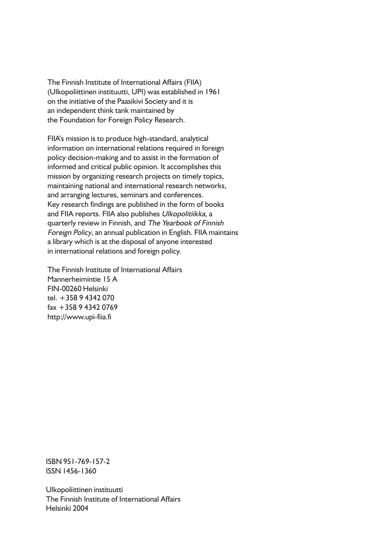The Finnish Institute of International Affairs (FIIA) (Ulkopoliittinen instituutti, UPI) was established in 1961 on the initiative of the Paasikivi Society and it is an independent think tank maintained by the Foundation for Foreign Policy Research.

FIIA's mission is to produce high-standard, analytical information on international relations required in foreign policy decision-making and to assist in the formation of informed and critical public opinion. It accomplishes this mission by organizing research projects on timely topics, maintaining national and international research networks, and arranging lectures, seminars and conferences. Key research findings are published in the form of books and FIIA reports. FIIA also publishes Ulkopolitiikka, a quarterly review in Finnish, and The Yearbook of Finnish Foreign Policy, an annual publication in English. FIIA maintains a library which is at the disposal of anyone interested in international relations and foreign policy.

The Finnish Institute of International Affairs Mannerheimintie 15 A FIN-00260 Helsinki tel. +358 9 4342 070 fax +358 9 4342 0769 http://www.upi-fiia.fi

ISBN 951-769-157-2 ISSN 1456-1360

Ulkopoliittinen instituutti The Finnish Institute of International Affairs Helsinki 2004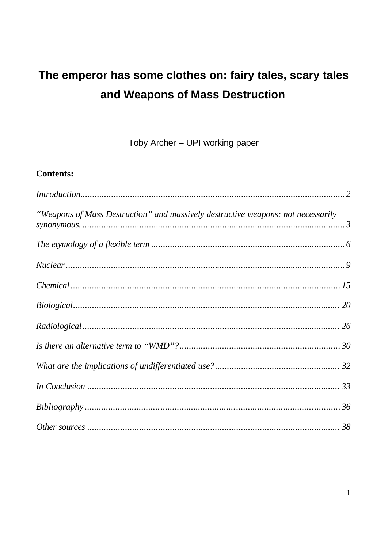# The emperor has some clothes on: fairy tales, scary tales and Weapons of Mass Destruction

Toby Archer - UPI working paper

# **Contents:**

| "Weapons of Mass Destruction" and massively destructive weapons: not necessarily |  |
|----------------------------------------------------------------------------------|--|
|                                                                                  |  |
|                                                                                  |  |
|                                                                                  |  |
|                                                                                  |  |
|                                                                                  |  |
|                                                                                  |  |
|                                                                                  |  |
|                                                                                  |  |
|                                                                                  |  |
|                                                                                  |  |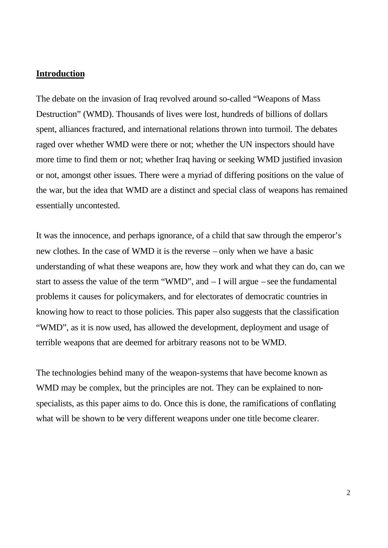#### **Introduction**

The debate on the invasion of Iraq revolved around so-called "Weapons of Mass Destruction" (WMD). Thousands of lives were lost, hundreds of billions of dollars spent, alliances fractured, and international relations thrown into turmoil. The debates raged over whether WMD were there or not; whether the UN inspectors should have more time to find them or not; whether Iraq having or seeking WMD justified invasion or not, amongst other issues. There were a myriad of differing positions on the value of the war, but the idea that WMD are a distinct and special class of weapons has remained essentially uncontested.

It was the innocence, and perhaps ignorance, of a child that saw through the emperor's new clothes. In the case of WMD it is the reverse – only when we have a basic understanding of what these weapons are, how they work and what they can do, can we start to assess the value of the term "WMD", and – I will argue – see the fundamental problems it causes for policymakers, and for electorates of democratic countries in knowing how to react to those policies. This paper also suggests that the classification "WMD", as it is now used, has allowed the development, deployment and usage of terrible weapons that are deemed for arbitrary reasons not to be WMD.

The technologies behind many of the weapon-systems that have become known as WMD may be complex, but the principles are not. They can be explained to nonspecialists, as this paper aims to do. Once this is done, the ramifications of conflating what will be shown to be very different weapons under one title become clearer.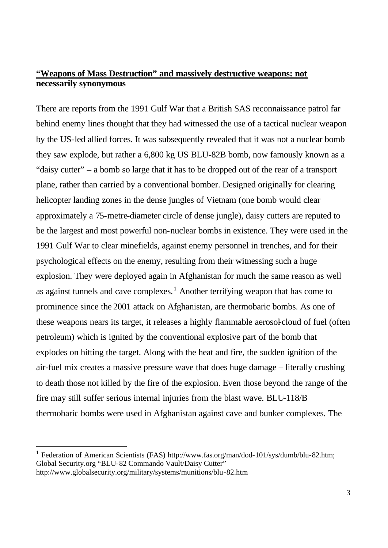## **"Weapons of Mass Destruction" and massively destructive weapons: not necessarily synonymous**

There are reports from the 1991 Gulf War that a British SAS reconnaissance patrol far behind enemy lines thought that they had witnessed the use of a tactical nuclear weapon by the US-led allied forces. It was subsequently revealed that it was not a nuclear bomb they saw explode, but rather a 6,800 kg US BLU-82B bomb, now famously known as a "daisy cutter" – a bomb so large that it has to be dropped out of the rear of a transport plane, rather than carried by a conventional bomber. Designed originally for clearing helicopter landing zones in the dense jungles of Vietnam (one bomb would clear approximately a 75-metre-diameter circle of dense jungle), daisy cutters are reputed to be the largest and most powerful non-nuclear bombs in existence. They were used in the 1991 Gulf War to clear minefields, against enemy personnel in trenches, and for their psychological effects on the enemy, resulting from their witnessing such a huge explosion. They were deployed again in Afghanistan for much the same reason as well as against tunnels and cave complexes.<sup>1</sup> Another terrifying weapon that has come to prominence since the 2001 attack on Afghanistan, are thermobaric bombs. As one of these weapons nears its target, it releases a highly flammable aerosol-cloud of fuel (often petroleum) which is ignited by the conventional explosive part of the bomb that explodes on hitting the target. Along with the heat and fire, the sudden ignition of the air-fuel mix creates a massive pressure wave that does huge damage – literally crushing to death those not killed by the fire of the explosion. Even those beyond the range of the fire may still suffer serious internal injuries from the blast wave. BLU-118/B thermobaric bombs were used in Afghanistan against cave and bunker complexes. The

<sup>&</sup>lt;sup>1</sup> Federation of American Scientists (FAS) http://www.fas.org/man/dod-101/sys/dumb/blu-82.htm; Global Security.org "BLU-82 Commando Vault/Daisy Cutter" http://www.globalsecurity.org/military/systems/munitions/blu-82.htm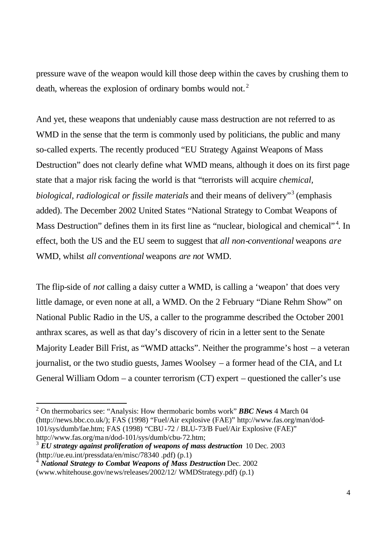pressure wave of the weapon would kill those deep within the caves by crushing them to death, whereas the explosion of ordinary bombs would not.<sup>2</sup>

And yet, these weapons that undeniably cause mass destruction are not referred to as WMD in the sense that the term is commonly used by politicians, the public and many so-called experts. The recently produced "EU Strategy Against Weapons of Mass Destruction" does not clearly define what WMD means, although it does on its first page state that a major risk facing the world is that "terrorists will acquire *chemical, biological, radiological or fissile materials* and their means of delivery"<sup>3</sup> (emphasis added). The December 2002 United States "National Strategy to Combat Weapons of Mass Destruction" defines them in its first line as "nuclear, biological and chemical"<sup>4</sup>. In effect, both the US and the EU seem to suggest that *all non-conventional* weapons *are* WMD, whilst *all conventional* weapons *are not* WMD.

The flip-side of *not* calling a daisy cutter a WMD, is calling a 'weapon' that does very little damage, or even none at all, a WMD. On the 2 February "Diane Rehm Show" on National Public Radio in the US, a caller to the programme described the October 2001 anthrax scares, as well as that day's discovery of ricin in a letter sent to the Senate Majority Leader Bill Frist, as "WMD attacks". Neither the programme's host – a veteran journalist, or the two studio guests, James Woolsey – a former head of the CIA, and Lt General William Odom – a counter terrorism (CT) expert – questioned the caller's use

<sup>2</sup> On thermobarics see: "Analysis: How thermobaric bombs work" *BBC News* 4 March 04 (http://news.bbc.co.uk/); FAS (1998) "Fuel/Air explosive (FAE)" http://www.fas.org/man/dod-101/sys/dumb/fae.htm; FAS (1998) "CBU-72 / BLU-73/B Fuel/Air Explosive (FAE)" http://www.fas.org/man/dod-101/sys/dumb/cbu-72.htm;

<sup>&</sup>lt;sup>3</sup> EU strategy against proliferation of weapons of mass destruction 10 Dec. 2003 (http://ue.eu.int/pressdata/en/misc/78340 .pdf) (p.1)

<sup>4</sup> *National Strategy to Combat Weapons of Mass Destruction* Dec. 2002 (www.whitehouse.gov/news/releases/2002/12/ WMDStrategy.pdf) (p.1)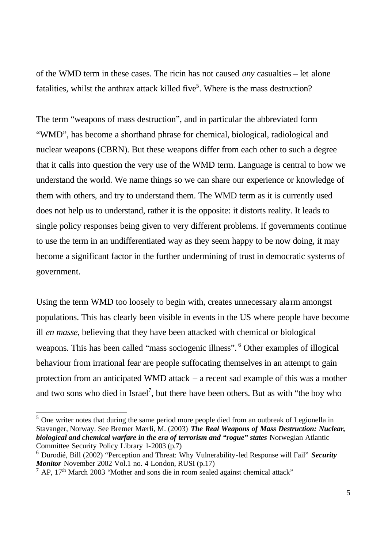of the WMD term in these cases. The ricin has not caused *any* casualties – let alone fatalities, whilst the anthrax attack killed five<sup>5</sup>. Where is the mass destruction?

The term "weapons of mass destruction", and in particular the abbreviated form "WMD", has become a shorthand phrase for chemical, biological, radiological and nuclear weapons (CBRN). But these weapons differ from each other to such a degree that it calls into question the very use of the WMD term. Language is central to how we understand the world. We name things so we can share our experience or knowledge of them with others, and try to understand them. The WMD term as it is currently used does not help us to understand, rather it is the opposite: it distorts reality. It leads to single policy responses being given to very different problems. If governments continue to use the term in an undifferentiated way as they seem happy to be now doing, it may become a significant factor in the further undermining of trust in democratic systems of government.

Using the term WMD too loosely to begin with, creates unnecessary alarm amongst populations. This has clearly been visible in events in the US where people have become ill *en masse*, believing that they have been attacked with chemical or biological weapons. This has been called "mass sociogenic illness". <sup>6</sup> Other examples of illogical behaviour from irrational fear are people suffocating themselves in an attempt to gain protection from an anticipated WMD attack – a recent sad example of this was a mother and two sons who died in Israel<sup>7</sup>, but there have been others. But as with "the boy who

 $<sup>5</sup>$  One writer notes that during the same period more people died from an outbreak of Legionella in</sup> Stavanger, Norway. See Bremer Mærli, M. (2003) *The Real Weapons of Mass Destruction: Nuclear, biological and chemical warfare in the era of terrorism and "rogue" states* Norwegian Atlantic Committee Security Policy Library 1-2003 (p.7)

<sup>6</sup> Durodié, Bill (2002) "Perception and Threat: Why Vulnerability-led Response will Fail" *Security Monitor* November 2002 Vol.1 no. 4 London, RUSI (p.17)

 $^7$  AP, 17<sup>th</sup> March 2003 "Mother and sons die in room sealed against chemical attack"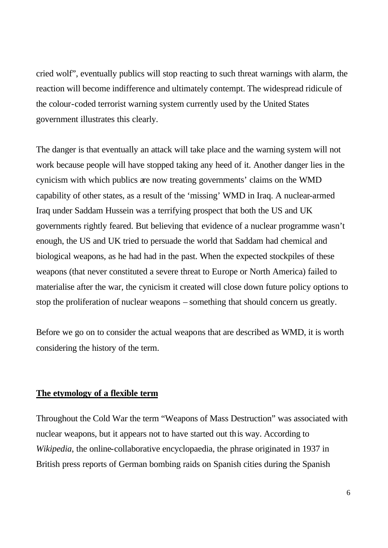cried wolf", eventually publics will stop reacting to such threat warnings with alarm, the reaction will become indifference and ultimately contempt. The widespread ridicule of the colour-coded terrorist warning system currently used by the United States government illustrates this clearly.

The danger is that eventually an attack will take place and the warning system will not work because people will have stopped taking any heed of it. Another danger lies in the cynicism with which publics are now treating governments' claims on the WMD capability of other states, as a result of the 'missing' WMD in Iraq. A nuclear-armed Iraq under Saddam Hussein was a terrifying prospect that both the US and UK governments rightly feared. But believing that evidence of a nuclear programme wasn't enough, the US and UK tried to persuade the world that Saddam had chemical and biological weapons, as he had had in the past. When the expected stockpiles of these weapons (that never constituted a severe threat to Europe or North America) failed to materialise after the war, the cynicism it created will close down future policy options to stop the proliferation of nuclear weapons – something that should concern us greatly.

Before we go on to consider the actual weapons that are described as WMD, it is worth considering the history of the term.

#### **The etymology of a flexible term**

Throughout the Cold War the term "Weapons of Mass Destruction" was associated with nuclear weapons, but it appears not to have started out this way. According to *Wikipedia*, the online-collaborative encyclopaedia, the phrase originated in 1937 in British press reports of German bombing raids on Spanish cities during the Spanish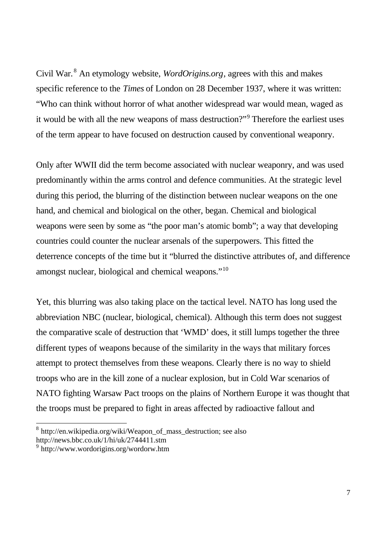Civil War.<sup>8</sup> An etymology website, *WordOrigins.org*, agrees with this and makes specific reference to the *Times* of London on 28 December 1937, where it was written: "Who can think without horror of what another widespread war would mean, waged as it would be with all the new weapons of mass destruction?"<sup>9</sup> Therefore the earliest uses of the term appear to have focused on destruction caused by conventional weaponry.

Only after WWII did the term become associated with nuclear weaponry, and was used predominantly within the arms control and defence communities. At the strategic level during this period, the blurring of the distinction between nuclear weapons on the one hand, and chemical and biological on the other, began. Chemical and biological weapons were seen by some as "the poor man's atomic bomb"; a way that developing countries could counter the nuclear arsenals of the superpowers. This fitted the deterrence concepts of the time but it "blurred the distinctive attributes of, and difference amongst nuclear, biological and chemical weapons."<sup>10</sup>

Yet, this blurring was also taking place on the tactical level. NATO has long used the abbreviation NBC (nuclear, biological, chemical). Although this term does not suggest the comparative scale of destruction that 'WMD' does, it still lumps together the three different types of weapons because of the similarity in the ways that military forces attempt to protect themselves from these weapons. Clearly there is no way to shield troops who are in the kill zone of a nuclear explosion, but in Cold War scenarios of NATO fighting Warsaw Pact troops on the plains of Northern Europe it was thought that the troops must be prepared to fight in areas affected by radioactive fallout and

 8 http://en.wikipedia.org/wiki/Weapon\_of\_mass\_destruction; see also http://news.bbc.co.uk/1/hi/uk/2744411.stm

<sup>9</sup> http://www.wordorigins.org/wordorw.htm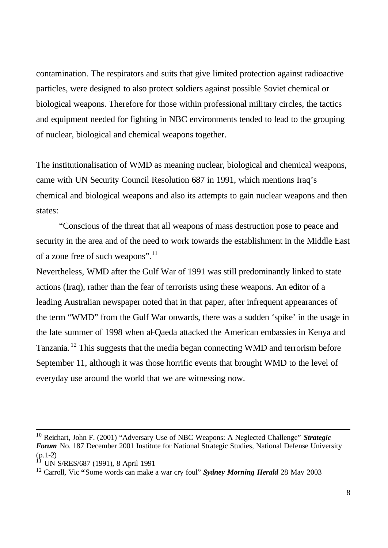contamination. The respirators and suits that give limited protection against radioactive particles, were designed to also protect soldiers against possible Soviet chemical or biological weapons. Therefore for those within professional military circles, the tactics and equipment needed for fighting in NBC environments tended to lead to the grouping of nuclear, biological and chemical weapons together.

The institutionalisation of WMD as meaning nuclear, biological and chemical weapons, came with UN Security Council Resolution 687 in 1991, which mentions Iraq's chemical and biological weapons and also its attempts to gain nuclear weapons and then states:

"Conscious of the threat that all weapons of mass destruction pose to peace and security in the area and of the need to work towards the establishment in the Middle East of a zone free of such weapons".<sup>11</sup>

Nevertheless, WMD after the Gulf War of 1991 was still predominantly linked to state actions (Iraq), rather than the fear of terrorists using these weapons. An editor of a leading Australian newspaper noted that in that paper, after infrequent appearances of the term "WMD" from the Gulf War onwards, there was a sudden 'spike' in the usage in the late summer of 1998 when al-Qaeda attacked the American embassies in Kenya and Tanzania.<sup>12</sup> This suggests that the media began connecting WMD and terrorism before September 11, although it was those horrific events that brought WMD to the level of everyday use around the world that we are witnessing now.

<sup>10</sup> Reichart, John F. (2001) "Adversary Use of NBC Weapons: A Neglected Challenge" *Strategic Forum* No. 187 December 2001 Institute for National Strategic Studies, National Defense University (p.1-2)

<sup>11</sup> UN S/RES/687 (1991), 8 April 1991

<sup>12</sup> Carroll, Vic **"**Some words can make a war cry foul" *Sydney Morning Herald* 28 May 2003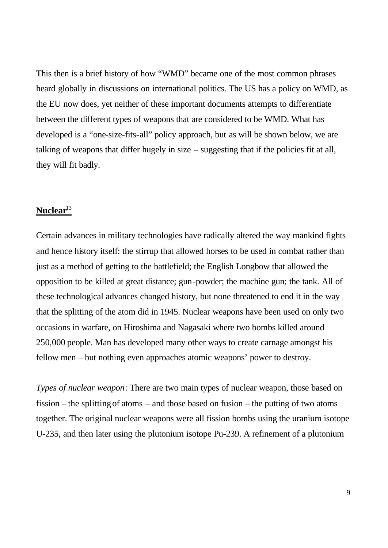This then is a brief history of how "WMD" became one of the most common phrases heard globally in discussions on international politics. The US has a policy on WMD, as the EU now does, yet neither of these important documents attempts to differentiate between the different types of weapons that are considered to be WMD. What has developed is a "one-size-fits-all" policy approach, but as will be shown below, we are talking of weapons that differ hugely in size – suggesting that if the policies fit at all, they will fit badly.

# **Nuclear**<sup>13</sup>

Certain advances in military technologies have radically altered the way mankind fights and hence history itself: the stirrup that allowed horses to be used in combat rather than just as a method of getting to the battlefield; the English Longbow that allowed the opposition to be killed at great distance; gun-powder; the machine gun; the tank. All of these technological advances changed history, but none threatened to end it in the way that the splitting of the atom did in 1945. Nuclear weapons have been used on only two occasions in warfare, on Hiroshima and Nagasaki where two bombs killed around 250,000 people. Man has developed many other ways to create carnage amongst his fellow men – but nothing even approaches atomic weapons' power to destroy.

*Types of nuclear weapon*: There are two main types of nuclear weapon, those based on fission – the splitting of atoms – and those based on fusion – the putting of two atoms together. The original nuclear weapons were all fission bombs using the uranium isotope U-235, and then later using the plutonium isotope Pu-239. A refinement of a plutonium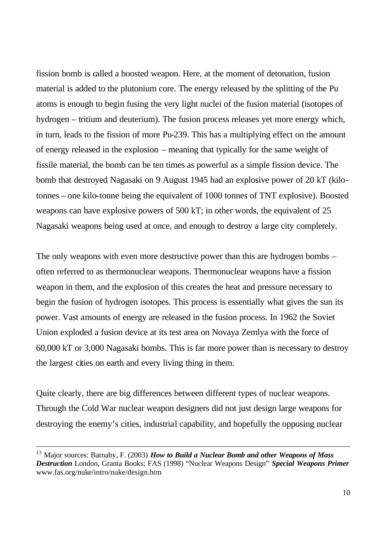fission bomb is called a boosted weapon. Here, at the moment of detonation, fusion material is added to the plutonium core. The energy released by the splitting of the Pu atoms is enough to begin fusing the very light nuclei of the fusion material (isotopes of hydrogen – tritium and deuterium). The fusion process releases yet more energy which, in turn, leads to the fission of more Pu-239. This has a multiplying effect on the amount of energy released in the explosion – meaning that typically for the same weight of fissile material, the bomb can be ten times as powerful as a simple fission device. The bomb that destroyed Nagasaki on 9 August 1945 had an explosive power of 20 kT (kilotonnes – one kilo-tonne being the equivalent of 1000 tonnes of TNT explosive). Boosted weapons can have explosive powers of 500 kT; in other words, the equivalent of 25 Nagasaki weapons being used at once, and enough to destroy a large city completely.

The only weapons with even more destructive power than this are hydrogen bombs – often referred to as thermonuclear weapons. Thermonuclear weapons have a fission weapon in them, and the explosion of this creates the heat and pressure necessary to begin the fusion of hydrogen isotopes. This process is essentially what gives the sun its power. Vast amounts of energy are released in the fusion process. In 1962 the Soviet Union exploded a fusion device at its test area on Novaya Zemlya with the force of 60,000 kT or 3,000 Nagasaki bombs. This is far more power than is necessary to destroy the largest cities on earth and every living thing in them.

Quite clearly, there are big differences between different types of nuclear weapons. Through the Cold War nuclear weapon designers did not just design large weapons for destroying the enemy's cities, industrial capability, and hopefully the opposing nuclear

<sup>13</sup> Major sources: Barnaby, F. (2003) *How to Build a Nuclear Bomb and other Weapons of Mass Destruction* London, Granta Books; FAS (1998) "Nuclear Weapons Design" *Special Weapons Primer* www.fas.org/nuke/intro/nuke/design.htm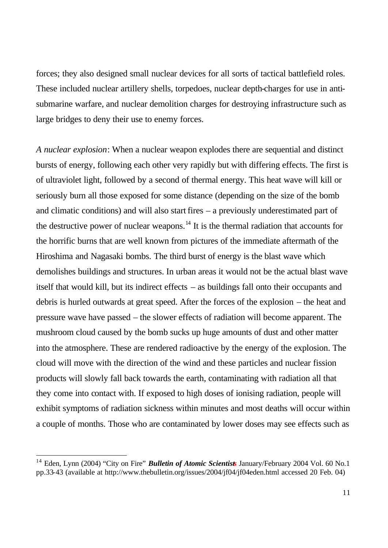forces; they also designed small nuclear devices for all sorts of tactical battlefield roles. These included nuclear artillery shells, torpedoes, nuclear depth-charges for use in antisubmarine warfare, and nuclear demolition charges for destroying infrastructure such as large bridges to deny their use to enemy forces.

*A nuclear explosion*: When a nuclear weapon explodes there are sequential and distinct bursts of energy, following each other very rapidly but with differing effects. The first is of ultraviolet light, followed by a second of thermal energy. This heat wave will kill or seriously burn all those exposed for some distance (depending on the size of the bomb and climatic conditions) and will also start fires – a previously underestimated part of the destructive power of nuclear weapons.<sup>14</sup> It is the thermal radiation that accounts for the horrific burns that are well known from pictures of the immediate aftermath of the Hiroshima and Nagasaki bombs. The third burst of energy is the blast wave which demolishes buildings and structures. In urban areas it would not be the actual blast wave itself that would kill, but its indirect effects – as buildings fall onto their occupants and debris is hurled outwards at great speed. After the forces of the explosion – the heat and pressure wave have passed – the slower effects of radiation will become apparent. The mushroom cloud caused by the bomb sucks up huge amounts of dust and other matter into the atmosphere. These are rendered radioactive by the energy of the explosion. The cloud will move with the direction of the wind and these particles and nuclear fission products will slowly fall back towards the earth, contaminating with radiation all that they come into contact with. If exposed to high doses of ionising radiation, people will exhibit symptoms of radiation sickness within minutes and most deaths will occur within a couple of months. Those who are contaminated by lower doses may see effects such as

 $\overline{a}$ 

<sup>&</sup>lt;sup>14</sup> Eden, Lynn (2004) "City on Fire" **Bulletin of Atomic Scientists** January/February 2004 Vol. 60 No.1 pp.33-43 (available at http://www.thebulletin.org/issues/2004/jf04/jf04eden.html accessed 20 Feb. 04)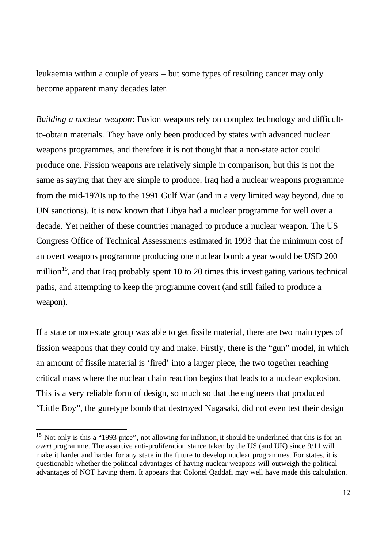leukaemia within a couple of years – but some types of resulting cancer may only become apparent many decades later.

*Building a nuclear weapon*: Fusion weapons rely on complex technology and difficultto-obtain materials. They have only been produced by states with advanced nuclear weapons programmes, and therefore it is not thought that a non-state actor could produce one. Fission weapons are relatively simple in comparison, but this is not the same as saying that they are simple to produce. Iraq had a nuclear weapons programme from the mid-1970s up to the 1991 Gulf War (and in a very limited way beyond, due to UN sanctions). It is now known that Libya had a nuclear programme for well over a decade. Yet neither of these countries managed to produce a nuclear weapon. The US Congress Office of Technical Assessments estimated in 1993 that the minimum cost of an overt weapons programme producing one nuclear bomb a year would be USD 200 million<sup>15</sup>, and that Iraq probably spent 10 to 20 times this investigating various technical paths, and attempting to keep the programme covert (and still failed to produce a weapon).

If a state or non-state group was able to get fissile material, there are two main types of fission weapons that they could try and make. Firstly, there is the "gun" model, in which an amount of fissile material is 'fired' into a larger piece, the two together reaching critical mass where the nuclear chain reaction begins that leads to a nuclear explosion. This is a very reliable form of design, so much so that the engineers that produced "Little Boy", the gun-type bomb that destroyed Nagasaki, did not even test their design

<sup>&</sup>lt;sup>15</sup> Not only is this a "1993 price", not allowing for inflation, it should be underlined that this is for an *overt* programme. The assertive anti-proliferation stance taken by the US (and UK) since 9/11 will make it harder and harder for any state in the future to develop nuclear programmes. For states, it is questionable whether the political advantages of having nuclear weapons will outweigh the political advantages of NOT having them. It appears that Colonel Qaddafi may well have made this calculation.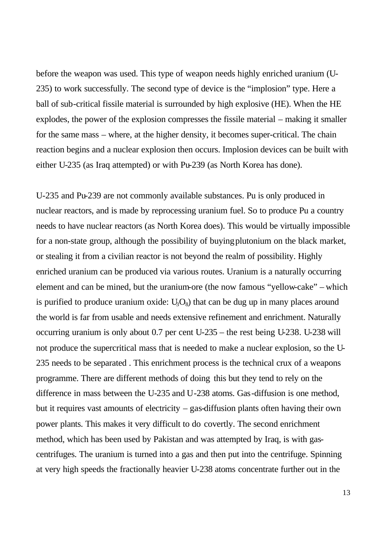before the weapon was used. This type of weapon needs highly enriched uranium (U-235) to work successfully. The second type of device is the "implosion" type. Here a ball of sub-critical fissile material is surrounded by high explosive (HE). When the HE explodes, the power of the explosion compresses the fissile material – making it smaller for the same mass – where, at the higher density, it becomes super-critical. The chain reaction begins and a nuclear explosion then occurs. Implosion devices can be built with either U-235 (as Iraq attempted) or with Pu-239 (as North Korea has done).

U-235 and Pu-239 are not commonly available substances. Pu is only produced in nuclear reactors, and is made by reprocessing uranium fuel. So to produce Pu a country needs to have nuclear reactors (as North Korea does). This would be virtually impossible for a non-state group, although the possibility of buying plutonium on the black market, or stealing it from a civilian reactor is not beyond the realm of possibility. Highly enriched uranium can be produced via various routes. Uranium is a naturally occurring element and can be mined, but the uranium-ore (the now famous "yellow-cake" – which is purified to produce uranium oxide:  $U_3O_8$ ) that can be dug up in many places around the world is far from usable and needs extensive refinement and enrichment. Naturally occurring uranium is only about 0.7 per cent U-235 – the rest being U-238. U-238 will not produce the supercritical mass that is needed to make a nuclear explosion, so the U-235 needs to be separated . This enrichment process is the technical crux of a weapons programme. There are different methods of doing this but they tend to rely on the difference in mass between the U-235 and U-238 atoms. Gas-diffusion is one method, but it requires vast amounts of electricity – gas-diffusion plants often having their own power plants. This makes it very difficult to do covertly. The second enrichment method, which has been used by Pakistan and was attempted by Iraq, is with gascentrifuges. The uranium is turned into a gas and then put into the centrifuge. Spinning at very high speeds the fractionally heavier U-238 atoms concentrate further out in the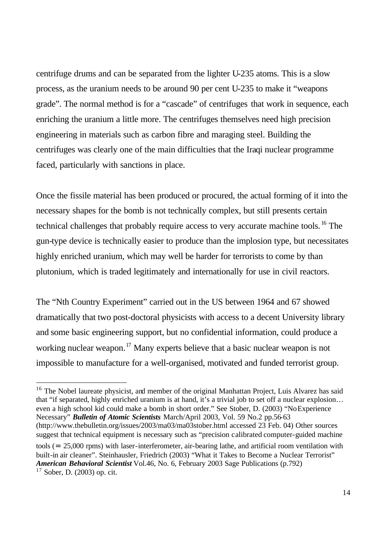centrifuge drums and can be separated from the lighter U-235 atoms. This is a slow process, as the uranium needs to be around 90 per cent U-235 to make it "weapons grade". The normal method is for a "cascade" of centrifuges that work in sequence, each enriching the uranium a little more. The centrifuges themselves need high precision engineering in materials such as carbon fibre and maraging steel. Building the centrifuges was clearly one of the main difficulties that the Iraqi nuclear programme faced, particularly with sanctions in place.

Once the fissile material has been produced or procured, the actual forming of it into the necessary shapes for the bomb is not technically complex, but still presents certain technical challenges that probably require access to very accurate machine tools.<sup>16</sup> The gun-type device is technically easier to produce than the implosion type, but necessitates highly enriched uranium, which may well be harder for terrorists to come by than plutonium, which is traded legitimately and internationally for use in civil reactors.

The "Nth Country Experiment" carried out in the US between 1964 and 67 showed dramatically that two post-doctoral physicists with access to a decent University library and some basic engineering support, but no confidential information, could produce a working nuclear weapon.<sup>17</sup> Many experts believe that a basic nuclear weapon is not impossible to manufacture for a well-organised, motivated and funded terrorist group.

<sup>16</sup> The Nobel laureate physicist, and member of the original Manhattan Project, Luis Alvarez has said that "if separated, highly enriched uranium is at hand, it's a trivial job to set off a nuclear explosion… even a high school kid could make a bomb in short order." See Stober, D. (2003) "No Experience Necessary" *Bulletin of Atomic Scientists* March/April 2003, Vol. 59 No.2 pp.56-63 (http://www.thebulletin.org/issues/2003/ma03/ma03stober.html accessed 23 Feb. 04) Other sources suggest that technical equipment is necessary such as "precision calibrated computer-guided machine tools (= 25,000 rpms) with laser-interferometer, air-bearing lathe, and artificial room ventilation with built-in air cleaner". Steinhausler, Friedrich (2003) "What it Takes to Become a Nuclear Terrorist" *American Behavioral Scientist* Vol.46, No. 6, February 2003 Sage Publications (p.792)  $17$  Sober, D. (2003) op. cit.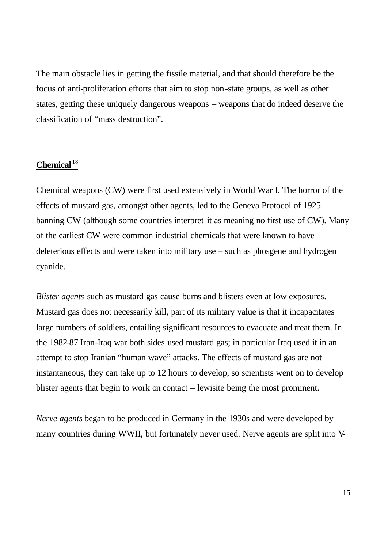The main obstacle lies in getting the fissile material, and that should therefore be the focus of anti-proliferation efforts that aim to stop non-state groups, as well as other states, getting these uniquely dangerous weapons – weapons that do indeed deserve the classification of "mass destruction".

# **Chemical** <sup>18</sup>

Chemical weapons (CW) were first used extensively in World War I. The horror of the effects of mustard gas, amongst other agents, led to the Geneva Protocol of 1925 banning CW (although some countries interpret it as meaning no first use of CW). Many of the earliest CW were common industrial chemicals that were known to have deleterious effects and were taken into military use – such as phosgene and hydrogen cyanide.

*Blister agents* such as mustard gas cause burns and blisters even at low exposures. Mustard gas does not necessarily kill, part of its military value is that it incapacitates large numbers of soldiers, entailing significant resources to evacuate and treat them. In the 1982-87 Iran-Iraq war both sides used mustard gas; in particular Iraq used it in an attempt to stop Iranian "human wave" attacks. The effects of mustard gas are not instantaneous, they can take up to 12 hours to develop, so scientists went on to develop blister agents that begin to work on contact – lewisite being the most prominent.

*Nerve agents* began to be produced in Germany in the 1930s and were developed by many countries during WWII, but fortunately never used. Nerve agents are split into V-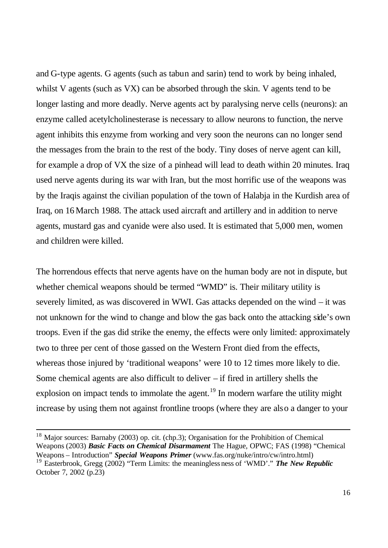and G-type agents. G agents (such as tabun and sarin) tend to work by being inhaled, whilst V agents (such as VX) can be absorbed through the skin. V agents tend to be longer lasting and more deadly. Nerve agents act by paralysing nerve cells (neurons): an enzyme called acetylcholinesterase is necessary to allow neurons to function, the nerve agent inhibits this enzyme from working and very soon the neurons can no longer send the messages from the brain to the rest of the body. Tiny doses of nerve agent can kill, for example a drop of VX the size of a pinhead will lead to death within 20 minutes. Iraq used nerve agents during its war with Iran, but the most horrific use of the weapons was by the Iraqis against the civilian population of the town of Halabja in the Kurdish area of Iraq, on 16 March 1988. The attack used aircraft and artillery and in addition to nerve agents, mustard gas and cyanide were also used. It is estimated that 5,000 men, women and children were killed.

The horrendous effects that nerve agents have on the human body are not in dispute, but whether chemical weapons should be termed "WMD" is. Their military utility is severely limited, as was discovered in WWI. Gas attacks depended on the wind – it was not unknown for the wind to change and blow the gas back onto the attacking side's own troops. Even if the gas did strike the enemy, the effects were only limited: approximately two to three per cent of those gassed on the Western Front died from the effects, whereas those injured by 'traditional weapons' were 10 to 12 times more likely to die. Some chemical agents are also difficult to deliver – if fired in artillery shells the explosion on impact tends to immolate the agent.<sup>19</sup> In modern warfare the utility might increase by using them not against frontline troops (where they are also a danger to your

<sup>&</sup>lt;sup>18</sup> Major sources: Barnaby (2003) op. cit. (chp.3); Organisation for the Prohibition of Chemical Weapons (2003) *Basic Facts on Chemical Disarmament* The Hague, OPWC; FAS (1998) "Chemical Weapons – Introduction" *Special Weapons Primer* (www.fas.org/nuke/intro/cw/intro.html) <sup>19</sup> Easterbrook, Gregg (2002) "Term Limits: the meaninglessness of 'WMD'." *The New Republic* October 7, 2002 (p.23)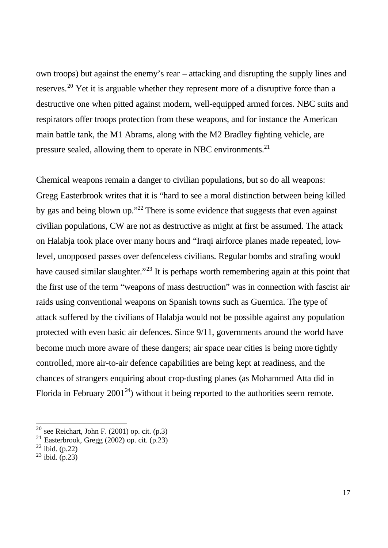own troops) but against the enemy's rear – attacking and disrupting the supply lines and reserves.<sup>20</sup> Yet it is arguable whether they represent more of a disruptive force than a destructive one when pitted against modern, well-equipped armed forces. NBC suits and respirators offer troops protection from these weapons, and for instance the American main battle tank, the M1 Abrams, along with the M2 Bradley fighting vehicle, are pressure sealed, allowing them to operate in NBC environments.<sup>21</sup>

Chemical weapons remain a danger to civilian populations, but so do all weapons: Gregg Easterbrook writes that it is "hard to see a moral distinction between being killed by gas and being blown up."<sup>22</sup> There is some evidence that suggests that even against civilian populations, CW are not as destructive as might at first be assumed. The attack on Halabja took place over many hours and "Iraqi airforce planes made repeated, lowlevel, unopposed passes over defenceless civilians. Regular bombs and strafing would have caused similar slaughter."<sup>23</sup> It is perhaps worth remembering again at this point that the first use of the term "weapons of mass destruction" was in connection with fascist air raids using conventional weapons on Spanish towns such as Guernica. The type of attack suffered by the civilians of Halabja would not be possible against any population protected with even basic air defences. Since 9/11, governments around the world have become much more aware of these dangers; air space near cities is being more tightly controlled, more air-to-air defence capabilities are being kept at readiness, and the chances of strangers enquiring about crop-dusting planes (as Mohammed Atta did in Florida in February 2001<sup>24</sup>) without it being reported to the authorities seem remote.

 $\overline{a}$ 

 $^{20}$  see Reichart, John F. (2001) op. cit. (p.3)

<sup>&</sup>lt;sup>21</sup> Easterbrook, Gregg (2002) op. cit.  $(p.23)$ 

 $22$  ibid. (p.22)

 $^{23}$  ibid. (p.23)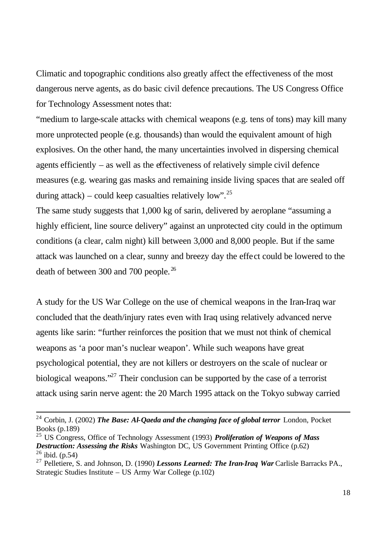Climatic and topographic conditions also greatly affect the effectiveness of the most dangerous nerve agents, as do basic civil defence precautions. The US Congress Office for Technology Assessment notes that:

"medium to large-scale attacks with chemical weapons (e.g. tens of tons) may kill many more unprotected people (e.g. thousands) than would the equivalent amount of high explosives. On the other hand, the many uncertainties involved in dispersing chemical agents efficiently – as well as the effectiveness of relatively simple civil defence measures (e.g. wearing gas masks and remaining inside living spaces that are sealed off during attack) – could keep casualties relatively low".<sup>25</sup>

The same study suggests that 1,000 kg of sarin, delivered by aeroplane "assuming a highly efficient, line source delivery" against an unprotected city could in the optimum conditions (a clear, calm night) kill between 3,000 and 8,000 people. But if the same attack was launched on a clear, sunny and breezy day the effect could be lowered to the death of between 300 and 700 people. <sup>26</sup>

A study for the US War College on the use of chemical weapons in the Iran-Iraq war concluded that the death/injury rates even with Iraq using relatively advanced nerve agents like sarin: "further reinforces the position that we must not think of chemical weapons as 'a poor man's nuclear weapon'. While such weapons have great psychological potential, they are not killers or destroyers on the scale of nuclear or biological weapons."<sup>27</sup> Their conclusion can be supported by the case of a terrorist attack using sarin nerve agent: the 20 March 1995 attack on the Tokyo subway carried

<sup>&</sup>lt;sup>24</sup> Corbin, J. (2002) *The Base: Al-Qaeda and the changing face of global terror* London, Pocket Books (p.189)

<sup>25</sup> US Congress, Office of Technology Assessment (1993) *Proliferation of Weapons of Mass Destruction: Assessing the Risks* Washington DC, US Government Printing Office (p.62)  $^{26}$  ibid. (p.54)

<sup>27</sup> Pelletiere, S. and Johnson, D. (1990) *Lessons Learned: The Iran-Iraq War* Carlisle Barracks PA., Strategic Studies Institute – US Army War College (p.102)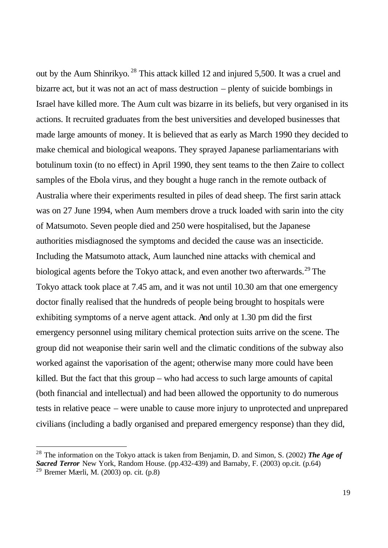out by the Aum Shinrikyo. <sup>28</sup> This attack killed 12 and injured 5,500. It was a cruel and bizarre act, but it was not an act of mass destruction – plenty of suicide bombings in Israel have killed more. The Aum cult was bizarre in its beliefs, but very organised in its actions. It recruited graduates from the best universities and developed businesses that made large amounts of money. It is believed that as early as March 1990 they decided to make chemical and biological weapons. They sprayed Japanese parliamentarians with botulinum toxin (to no effect) in April 1990, they sent teams to the then Zaire to collect samples of the Ebola virus, and they bought a huge ranch in the remote outback of Australia where their experiments resulted in piles of dead sheep. The first sarin attack was on 27 June 1994, when Aum members drove a truck loaded with sarin into the city of Matsumoto. Seven people died and 250 were hospitalised, but the Japanese authorities misdiagnosed the symptoms and decided the cause was an insecticide. Including the Matsumoto attack, Aum launched nine attacks with chemical and biological agents before the Tokyo attack, and even another two afterwards.<sup>29</sup> The Tokyo attack took place at 7.45 am, and it was not until 10.30 am that one emergency doctor finally realised that the hundreds of people being brought to hospitals were exhibiting symptoms of a nerve agent attack. And only at 1.30 pm did the first emergency personnel using military chemical protection suits arrive on the scene. The group did not weaponise their sarin well and the climatic conditions of the subway also worked against the vaporisation of the agent; otherwise many more could have been killed. But the fact that this group – who had access to such large amounts of capital (both financial and intellectual) and had been allowed the opportunity to do numerous tests in relative peace – were unable to cause more injury to unprotected and unprepared civilians (including a badly organised and prepared emergency response) than they did,

<sup>28</sup> The information on the Tokyo attack is taken from Benjamin, D. and Simon, S. (2002) *The Age of Sacred Terror* New York, Random House. (pp.432-439) and Barnaby, F. (2003) op.cit. (p.64) <sup>29</sup> Bremer Mærli, M. (2003) op. cit. (p.8)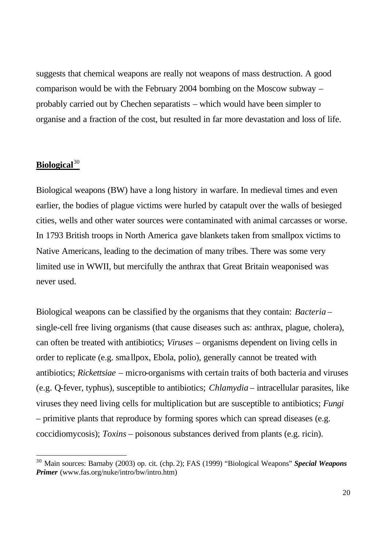suggests that chemical weapons are really not weapons of mass destruction. A good comparison would be with the February 2004 bombing on the Moscow subway – probably carried out by Chechen separatists – which would have been simpler to organise and a fraction of the cost, but resulted in far more devastation and loss of life.

# Biological<sup>30</sup>

 $\overline{a}$ 

Biological weapons (BW) have a long history in warfare. In medieval times and even earlier, the bodies of plague victims were hurled by catapult over the walls of besieged cities, wells and other water sources were contaminated with animal carcasses or worse. In 1793 British troops in North America gave blankets taken from smallpox victims to Native Americans, leading to the decimation of many tribes. There was some very limited use in WWII, but mercifully the anthrax that Great Britain weaponised was never used.

Biological weapons can be classified by the organisms that they contain: *Bacteria* – single-cell free living organisms (that cause diseases such as: anthrax, plague, cholera), can often be treated with antibiotics; *Viruses* – organisms dependent on living cells in order to replicate (e.g. smallpox, Ebola, polio), generally cannot be treated with antibiotics; *Rickettsiae* – micro-organisms with certain traits of both bacteria and viruses (e.g. Q-fever, typhus), susceptible to antibiotics; *Chlamydia* – intracellular parasites, like viruses they need living cells for multiplication but are susceptible to antibiotics; *Fungi* – primitive plants that reproduce by forming spores which can spread diseases (e.g. coccidiomycosis); *Toxins* – poisonous substances derived from plants (e.g. ricin).

<sup>30</sup> Main sources: Barnaby (2003) op. cit. (chp. 2); FAS (1999) "Biological Weapons" *Special Weapons Primer* (www.fas.org/nuke/intro/bw/intro.htm)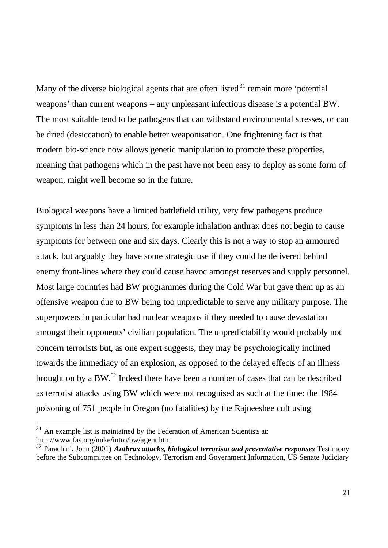Many of the diverse biological agents that are often listed  $3<sup>1</sup>$  remain more 'potential weapons' than current weapons – any unpleasant infectious disease is a potential BW. The most suitable tend to be pathogens that can withstand environmental stresses, or can be dried (desiccation) to enable better weaponisation. One frightening fact is that modern bio-science now allows genetic manipulation to promote these properties, meaning that pathogens which in the past have not been easy to deploy as some form of weapon, might well become so in the future.

Biological weapons have a limited battlefield utility, very few pathogens produce symptoms in less than 24 hours, for example inhalation anthrax does not begin to cause symptoms for between one and six days. Clearly this is not a way to stop an armoured attack, but arguably they have some strategic use if they could be delivered behind enemy front-lines where they could cause havoc amongst reserves and supply personnel. Most large countries had BW programmes during the Cold War but gave them up as an offensive weapon due to BW being too unpredictable to serve any military purpose. The superpowers in particular had nuclear weapons if they needed to cause devastation amongst their opponents' civilian population. The unpredictability would probably not concern terrorists but, as one expert suggests, they may be psychologically inclined towards the immediacy of an explosion, as opposed to the delayed effects of an illness brought on by a BW.<sup>32</sup> Indeed there have been a number of cases that can be described as terrorist attacks using BW which were not recognised as such at the time: the 1984 poisoning of 751 people in Oregon (no fatalities) by the Rajneeshee cult using

 $\overline{a}$ 

 $31$  An example list is maintained by the Federation of American Scientists at: http://www.fas.org/nuke/intro/bw/agent.htm

<sup>32</sup> Parachini, John (2001) *Anthrax attacks, biological terrorism and preventative responses* Testimony before the Subcommittee on Technology, Terrorism and Government Information, US Senate Judiciary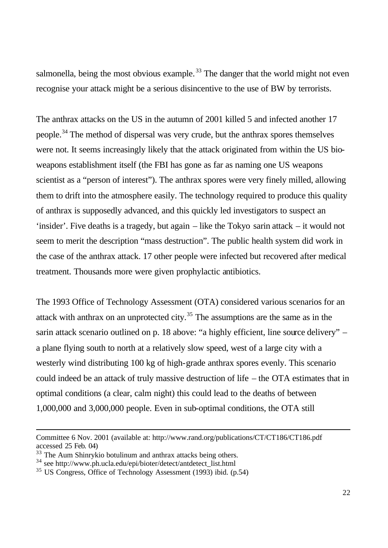salmonella, being the most obvious example.<sup>33</sup> The danger that the world might not even recognise your attack might be a serious disincentive to the use of BW by terrorists.

The anthrax attacks on the US in the autumn of 2001 killed 5 and infected another 17 people.<sup>34</sup> The method of dispersal was very crude, but the anthrax spores themselves were not. It seems increasingly likely that the attack originated from within the US bioweapons establishment itself (the FBI has gone as far as naming one US weapons scientist as a "person of interest"). The anthrax spores were very finely milled, allowing them to drift into the atmosphere easily. The technology required to produce this quality of anthrax is supposedly advanced, and this quickly led investigators to suspect an 'insider'. Five deaths is a tragedy, but again – like the Tokyo sarin attack – it would not seem to merit the description "mass destruction". The public health system did work in the case of the anthrax attack. 17 other people were infected but recovered after medical treatment. Thousands more were given prophylactic antibiotics.

The 1993 Office of Technology Assessment (OTA) considered various scenarios for an attack with anthrax on an unprotected city.<sup>35</sup> The assumptions are the same as in the sarin attack scenario outlined on p. 18 above: "a highly efficient, line source delivery" – a plane flying south to north at a relatively slow speed, west of a large city with a westerly wind distributing 100 kg of high-grade anthrax spores evenly. This scenario could indeed be an attack of truly massive destruction of life – the OTA estimates that in optimal conditions (a clear, calm night) this could lead to the deaths of between 1,000,000 and 3,000,000 people. Even in sub-optimal conditions, the OTA still

Committee 6 Nov. 2001 (available at: http://www.rand.org/publications/CT/CT186/CT186.pdf accessed 25 Feb. 04)

 $33$  The Aum Shinrykio botulinum and anthrax attacks being others.

<sup>34</sup> see http://www.ph.ucla.edu/epi/bioter/detect/antdetect\_list.html

<sup>35</sup> US Congress, Office of Technology Assessment (1993) ibid. (p.54)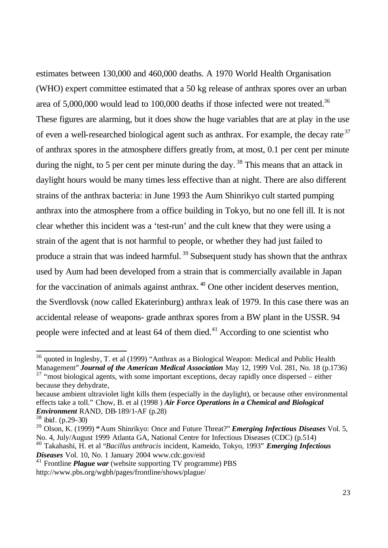estimates between 130,000 and 460,000 deaths. A 1970 World Health Organisation (WHO) expert committee estimated that a 50 kg release of anthrax spores over an urban area of  $5,000,000$  would lead to 100,000 deaths if those infected were not treated.<sup>36</sup> These figures are alarming, but it does show the huge variables that are at play in the use of even a well-researched biological agent such as anthrax. For example, the decay rate<sup>37</sup> of anthrax spores in the atmosphere differs greatly from, at most, 0.1 per cent per minute during the night, to 5 per cent per minute during the day.<sup>38</sup> This means that an attack in daylight hours would be many times less effective than at night. There are also different strains of the anthrax bacteria: in June 1993 the Aum Shinrikyo cult started pumping anthrax into the atmosphere from a office building in Tokyo, but no one fell ill. It is not clear whether this incident was a 'test-run' and the cult knew that they were using a strain of the agent that is not harmful to people, or whether they had just failed to produce a strain that was indeed harmful.<sup>39</sup> Subsequent study has shown that the anthrax used by Aum had been developed from a strain that is commercially available in Japan for the vaccination of animals against anthrax.  $40$  One other incident deserves mention, the Sverdlovsk (now called Ekaterinburg) anthrax leak of 1979. In this case there was an accidental release of weapons- grade anthrax spores from a BW plant in the USSR. 94 people were infected and at least  $64$  of them died.<sup>41</sup> According to one scientist who

<sup>40</sup> Takahashi, H. et al "*Bacillus anthracis* incident, Kameido, Tokyo, 1993" *Emerging Infectious Diseases* Vol. 10, No. 1 January 2004 www.cdc.gov/eid

 $36$  quoted in Inglesby, T. et al (1999) "Anthrax as a Biological Weapon: Medical and Public Health Management" *Journal of the American Medical Association* May 12, 1999 Vol. 281, No. 18 (p.1736)

 $37$  "most biological agents, with some important exceptions, decay rapidly once dispersed – either because they dehydrate,

because ambient ultraviolet light kills them (especially in the daylight), or because other environmental effects take a toll." Chow, B. et al (1998 ) *Air Force Operations in a Chemical and Biological Environment* RAND, DB-189/1-AF (p.28)

 $38$  ibid. (p.29-30)

<sup>39</sup> Olson, K. (1999) **"**Aum Shinrikyo: Once and Future Threat?" *Emerging Infectious Diseases* Vol. 5, No. 4, July/August 1999 Atlanta GA, National Centre for Infectious Diseases (CDC) (p.514)

<sup>&</sup>lt;sup>41</sup> Frontline *Plague war* (website supporting TV programme) PBS http://www.pbs.org/wgbh/pages/frontline/shows/plague/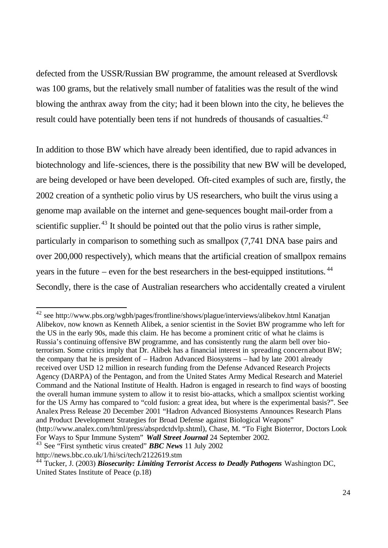defected from the USSR/Russian BW programme, the amount released at Sverdlovsk was 100 grams, but the relatively small number of fatalities was the result of the wind blowing the anthrax away from the city; had it been blown into the city, he believes the result could have potentially been tens if not hundreds of thousands of casualties.<sup>42</sup>

In addition to those BW which have already been identified, due to rapid advances in biotechnology and life-sciences, there is the possibility that new BW will be developed, are being developed or have been developed. Oft-cited examples of such are, firstly, the 2002 creation of a synthetic polio virus by US researchers, who built the virus using a genome map available on the internet and gene-sequences bought mail-order from a scientific supplier.  $43$  It should be pointed out that the polio virus is rather simple, particularly in comparison to something such as smallpox (7,741 DNA base pairs and over 200,000 respectively), which means that the artificial creation of smallpox remains years in the future – even for the best researchers in the best-equipped institutions.  $44$ Secondly, there is the case of Australian researchers who accidentally created a virulent

<sup>42</sup> see http://www.pbs.org/wgbh/pages/frontline/shows/plague/interviews/alibekov.html Kanatjan Alibekov, now known as Kenneth Alibek, a senior scientist in the Soviet BW programme who left for the US in the early 90s, made this claim. He has become a prominent critic of what he claims is Russia's continuing offensive BW programme, and has consistently rung the alarm bell over bioterrorism. Some critics imply that Dr. Alibek has a financial interest in spreading concernabout BW; the company that he is president of – Hadron Advanced Biosystems – had by late 2001 already received over USD 12 million in research funding from the Defense Advanced Research Projects Agency (DARPA) of the Pentagon, and from the United States Army Medical Research and Materiel Command and the National Institute of Health. Hadron is engaged in research to find ways of boosting the overall human immune system to allow it to resist bio-attacks, which a smallpox scientist working for the US Army has compared to "cold fusion: a great idea, but where is the experimental basis?". See Analex Press Release 20 December 2001 "Hadron Advanced Biosystems Announces Research Plans and Product Development Strategies for Broad Defense against Biological Weapons"

<sup>(</sup>http://www.analex.com/html/press/absprdctdvlp.shtml), Chase, M. "To Fight Bioterror, Doctors Look For Ways to Spur Immune System" *Wall Street Journal* 24 September 2002.

<sup>43</sup> See "First synthetic virus created" *BBC News* 11 July 2002

http://news.bbc.co.uk/1/hi/sci/tech/2122619.stm

<sup>44</sup> Tucker, J. (2003) *Biosecurity: Limiting Terrorist Access to Deadly Pathogens* Washington DC, United States Institute of Peace (p.18)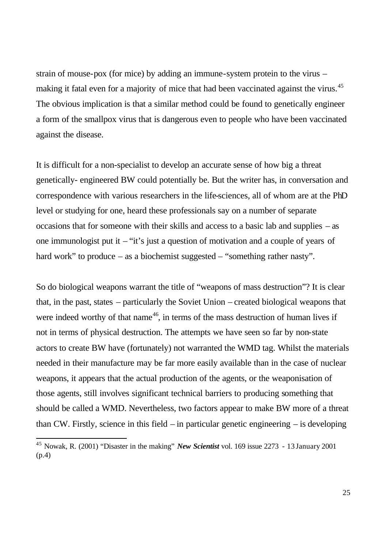strain of mouse-pox (for mice) by adding an immune-system protein to the virus – making it fatal even for a majority of mice that had been vaccinated against the virus.<sup>45</sup> The obvious implication is that a similar method could be found to genetically engineer a form of the smallpox virus that is dangerous even to people who have been vaccinated against the disease.

It is difficult for a non-specialist to develop an accurate sense of how big a threat genetically- engineered BW could potentially be. But the writer has, in conversation and correspondence with various researchers in the life-sciences, all of whom are at the PhD level or studying for one, heard these professionals say on a number of separate occasions that for someone with their skills and access to a basic lab and supplies – as one immunologist put it – "it's just a question of motivation and a couple of years of hard work" to produce – as a biochemist suggested – "something rather nasty".

So do biological weapons warrant the title of "weapons of mass destruction"? It is clear that, in the past, states – particularly the Soviet Union – created biological weapons that were indeed worthy of that name<sup>46</sup>, in terms of the mass destruction of human lives if not in terms of physical destruction. The attempts we have seen so far by non-state actors to create BW have (fortunately) not warranted the WMD tag. Whilst the materials needed in their manufacture may be far more easily available than in the case of nuclear weapons, it appears that the actual production of the agents, or the weaponisation of those agents, still involves significant technical barriers to producing something that should be called a WMD. Nevertheless, two factors appear to make BW more of a threat than CW. Firstly, science in this field – in particular genetic engineering – is developing

 $\overline{a}$ 

<sup>45</sup> Nowak, R. (2001) "Disaster in the making" *New Scientist* vol. 169 issue 2273 - 13 January 2001 (p.4)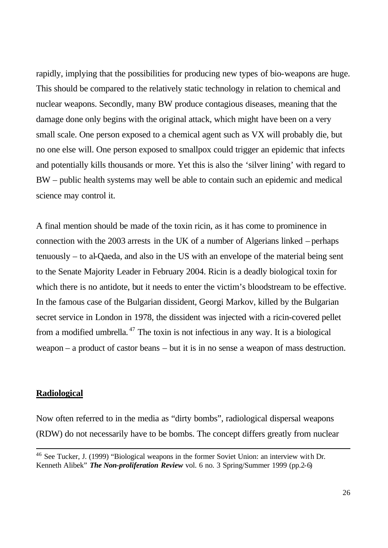rapidly, implying that the possibilities for producing new types of bio-weapons are huge. This should be compared to the relatively static technology in relation to chemical and nuclear weapons. Secondly, many BW produce contagious diseases, meaning that the damage done only begins with the original attack, which might have been on a very small scale. One person exposed to a chemical agent such as VX will probably die, but no one else will. One person exposed to smallpox could trigger an epidemic that infects and potentially kills thousands or more. Yet this is also the 'silver lining' with regard to BW – public health systems may well be able to contain such an epidemic and medical science may control it.

A final mention should be made of the toxin ricin, as it has come to prominence in connection with the 2003 arrests in the UK of a number of Algerians linked – perhaps tenuously – to al-Qaeda, and also in the US with an envelope of the material being sent to the Senate Majority Leader in February 2004. Ricin is a deadly biological toxin for which there is no antidote, but it needs to enter the victim's bloodstream to be effective. In the famous case of the Bulgarian dissident, Georgi Markov, killed by the Bulgarian secret service in London in 1978, the dissident was injected with a ricin-covered pellet from a modified umbrella.<sup> $47$ </sup> The toxin is not infectious in any way. It is a biological weapon – a product of castor beans – but it is in no sense a weapon of mass destruction.

#### **Radiological**

Now often referred to in the media as "dirty bombs", radiological dispersal weapons (RDW) do not necessarily have to be bombs. The concept differs greatly from nuclear

<sup>46</sup> See Tucker, J. (1999) "Biological weapons in the former Soviet Union: an interview with Dr. Kenneth Alibek" *The Non-proliferation Review* vol. 6 no. 3 Spring/Summer 1999 (pp.2-6)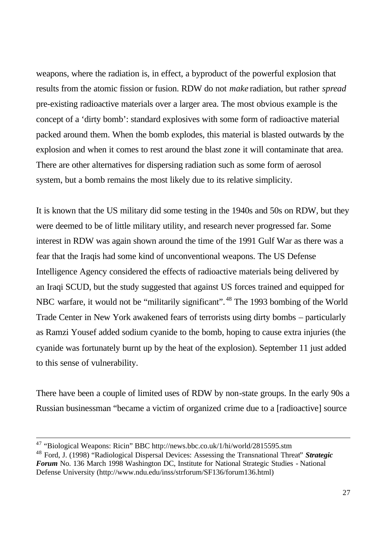weapons, where the radiation is, in effect, a byproduct of the powerful explosion that results from the atomic fission or fusion. RDW do not *make* radiation, but rather *spread* pre-existing radioactive materials over a larger area. The most obvious example is the concept of a 'dirty bomb': standard explosives with some form of radioactive material packed around them. When the bomb explodes, this material is blasted outwards by the explosion and when it comes to rest around the blast zone it will contaminate that area. There are other alternatives for dispersing radiation such as some form of aerosol system, but a bomb remains the most likely due to its relative simplicity.

It is known that the US military did some testing in the 1940s and 50s on RDW, but they were deemed to be of little military utility, and research never progressed far. Some interest in RDW was again shown around the time of the 1991 Gulf War as there was a fear that the Iraqis had some kind of unconventional weapons. The US Defense Intelligence Agency considered the effects of radioactive materials being delivered by an Iraqi SCUD, but the study suggested that against US forces trained and equipped for NBC warfare, it would not be "militarily significant".<sup>48</sup> The 1993 bombing of the World Trade Center in New York awakened fears of terrorists using dirty bombs – particularly as Ramzi Yousef added sodium cyanide to the bomb, hoping to cause extra injuries (the cyanide was fortunately burnt up by the heat of the explosion). September 11 just added to this sense of vulnerability.

There have been a couple of limited uses of RDW by non-state groups. In the early 90s a Russian businessman "became a victim of organized crime due to a [radioactive] source

 $\overline{a}$ 

 $47$  "Biological Weapons: Ricin" BBC http://news.bbc.co.uk/1/hi/world/2815595.stm

<sup>48</sup> Ford, J. (1998) "Radiological Dispersal Devices: Assessing the Transnational Threat" *Strategic Forum* No. 136 March 1998 Washington DC, Institute for National Strategic Studies - National Defense University (http://www.ndu.edu/inss/strforum/SF136/forum136.html)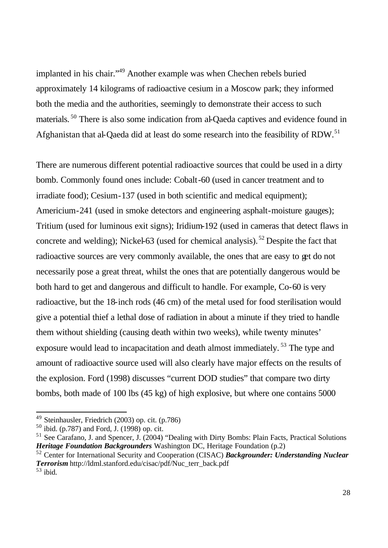implanted in his chair."<sup>49</sup> Another example was when Chechen rebels buried approximately 14 kilograms of radioactive cesium in a Moscow park; they informed both the media and the authorities, seemingly to demonstrate their access to such materials. <sup>50</sup> There is also some indication from al-Qaeda captives and evidence found in Afghanistan that al-Qaeda did at least do some research into the feasibility of RDW.<sup>51</sup>

There are numerous different potential radioactive sources that could be used in a dirty bomb. Commonly found ones include: Cobalt-60 (used in cancer treatment and to irradiate food); Cesium-137 (used in both scientific and medical equipment); Americium-241 (used in smoke detectors and engineering asphalt-moisture gauges); Tritium (used for luminous exit signs); Iridium-192 (used in cameras that detect flaws in concrete and welding); Nickel-63 (used for chemical analysis). <sup>52</sup> Despite the fact that radioactive sources are very commonly available, the ones that are easy to get do not necessarily pose a great threat, whilst the ones that are potentially dangerous would be both hard to get and dangerous and difficult to handle. For example, Co-60 is very radioactive, but the 18-inch rods (46 cm) of the metal used for food sterilisation would give a potential thief a lethal dose of radiation in about a minute if they tried to handle them without shielding (causing death within two weeks), while twenty minutes' exposure would lead to incapacitation and death almost immediately.<sup>53</sup> The type and amount of radioactive source used will also clearly have major effects on the results of the explosion. Ford (1998) discusses "current DOD studies" that compare two dirty bombs, both made of 100 lbs (45 kg) of high explosive, but where one contains 5000

<sup>&</sup>lt;sup>49</sup> Steinhausler, Friedrich (2003) op. cit. (p.786)

 $50$  ibid. (p.787) and Ford, J. (1998) op. cit.

 $51$  See Carafano, J. and Spencer, J. (2004) "Dealing with Dirty Bombs: Plain Facts, Practical Solutions *Heritage Foundation Backgrounders* Washington DC, Heritage Foundation (p.2)

<sup>52</sup> Center for International Security and Cooperation (CISAC) *Backgrounder: Understanding Nuclear Terrorism* http://ldml.stanford.edu/cisac/pdf/Nuc\_terr\_back.pdf <sup>53</sup> ibid.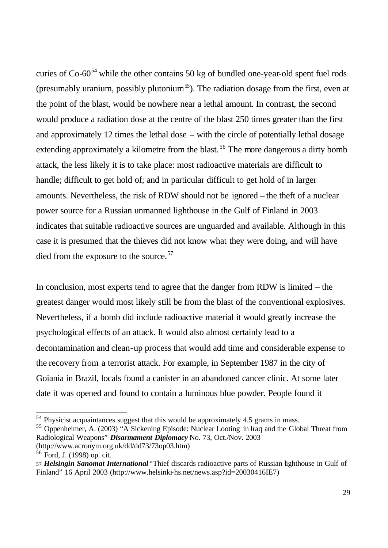curies of  $Co-60<sup>54</sup>$  while the other contains 50 kg of bundled one-year-old spent fuel rods (presumably uranium, possibly plutonium<sup>55</sup>). The radiation dosage from the first, even at the point of the blast, would be nowhere near a lethal amount. In contrast, the second would produce a radiation dose at the centre of the blast 250 times greater than the first and approximately 12 times the lethal dose – with the circle of potentially lethal dosage extending approximately a kilometre from the blast.<sup>56</sup> The more dangerous a dirty bomb attack, the less likely it is to take place: most radioactive materials are difficult to handle; difficult to get hold of; and in particular difficult to get hold of in larger amounts. Nevertheless, the risk of RDW should not be ignored – the theft of a nuclear power source for a Russian unmanned lighthouse in the Gulf of Finland in 2003 indicates that suitable radioactive sources are unguarded and available. Although in this case it is presumed that the thieves did not know what they were doing, and will have died from the exposure to the source.<sup>57</sup>

In conclusion, most experts tend to agree that the danger from RDW is limited – the greatest danger would most likely still be from the blast of the conventional explosives. Nevertheless, if a bomb did include radioactive material it would greatly increase the psychological effects of an attack. It would also almost certainly lead to a decontamination and clean-up process that would add time and considerable expense to the recovery from a terrorist attack. For example, in September 1987 in the city of Goiania in Brazil, locals found a canister in an abandoned cancer clinic. At some later date it was opened and found to contain a luminous blue powder. People found it

<sup>&</sup>lt;sup>54</sup> Physicist acquaintances suggest that this would be approximately 4.5 grams in mass.

<sup>55</sup> Oppenheimer, A. (2003) "A Sickening Episode: Nuclear Looting in Iraq and the Global Threat from Radiological Weapons" *Disarmament Diplomacy* No. 73, Oct./Nov. 2003 (http://www.acronym.org.uk/dd/dd73/73op03.htm)

<sup>56</sup> Ford, J. (1998) op. cit.

<sup>57</sup> *Helsingin Sanomat International* "Thief discards radioactive parts of Russian lighthouse in Gulf of Finland" 16 April 2003 (http://www.helsinki-hs.net/news.asp?id=20030416IE7)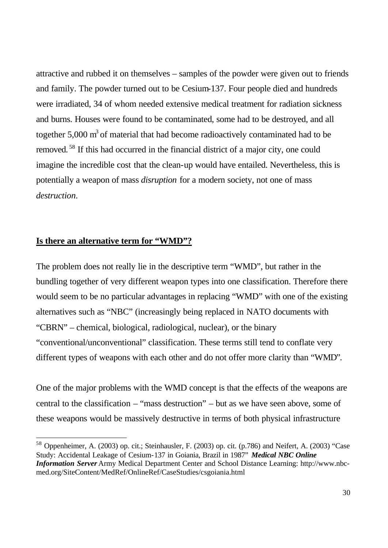attractive and rubbed it on themselves – samples of the powder were given out to friends and family. The powder turned out to be Cesium-137. Four people died and hundreds were irradiated, 34 of whom needed extensive medical treatment for radiation sickness and burns. Houses were found to be contaminated, some had to be destroyed, and all together  $5,000 \text{ m}^3$  of material that had become radioactively contaminated had to be removed. <sup>58</sup> If this had occurred in the financial district of a major city, one could imagine the incredible cost that the clean-up would have entailed. Nevertheless, this is potentially a weapon of mass *disruption* for a modern society, not one of mass *destruction*.

#### **Is there an alternative term for "WMD"?**

 $\overline{a}$ 

The problem does not really lie in the descriptive term "WMD", but rather in the bundling together of very different weapon types into one classification. Therefore there would seem to be no particular advantages in replacing "WMD" with one of the existing alternatives such as "NBC" (increasingly being replaced in NATO documents with "CBRN" – chemical, biological, radiological, nuclear), or the binary "conventional/unconventional" classification. These terms still tend to conflate very different types of weapons with each other and do not offer more clarity than "WMD".

One of the major problems with the WMD concept is that the effects of the weapons are central to the classification – "mass destruction" – but as we have seen above, some of these weapons would be massively destructive in terms of both physical infrastructure

 $58$  Oppenheimer, A. (2003) op. cit.; Steinhausler, F. (2003) op. cit. (p.786) and Neifert, A. (2003) "Case Study: Accidental Leakage of Cesium-137 in Goiania, Brazil in 1987" *Medical NBC Online Information Server* Army Medical Department Center and School Distance Learning: http://www.nbcmed.org/SiteContent/MedRef/OnlineRef/CaseStudies/csgoiania.html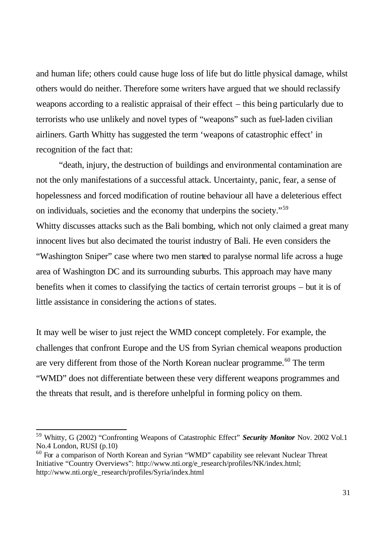and human life; others could cause huge loss of life but do little physical damage, whilst others would do neither. Therefore some writers have argued that we should reclassify weapons according to a realistic appraisal of their effect – this being particularly due to terrorists who use unlikely and novel types of "weapons" such as fuel-laden civilian airliners. Garth Whitty has suggested the term 'weapons of catastrophic effect' in recognition of the fact that:

"death, injury, the destruction of buildings and environmental contamination are not the only manifestations of a successful attack. Uncertainty, panic, fear, a sense of hopelessness and forced modification of routine behaviour all have a deleterious effect on individuals, societies and the economy that underpins the society."<sup>59</sup> Whitty discusses attacks such as the Bali bombing, which not only claimed a great many innocent lives but also decimated the tourist industry of Bali. He even considers the "Washington Sniper" case where two men started to paralyse normal life across a huge area of Washington DC and its surrounding suburbs. This approach may have many benefits when it comes to classifying the tactics of certain terrorist groups – but it is of little assistance in considering the actions of states.

It may well be wiser to just reject the WMD concept completely. For example, the challenges that confront Europe and the US from Syrian chemical weapons production are very different from those of the North Korean nuclear programme.<sup>60</sup> The term "WMD" does not differentiate between these very different weapons programmes and the threats that result, and is therefore unhelpful in forming policy on them.

<sup>59</sup> Whitty, G (2002) "Confronting Weapons of Catastrophic Effect" *Security Monitor* Nov. 2002 Vol.1 No.4 London, RUSI (p.10)

<sup>&</sup>lt;sup>60</sup> For a comparison of North Korean and Syrian "WMD" capability see relevant Nuclear Threat Initiative "Country Overviews": http://www.nti.org/e\_research/profiles/NK/index.html; http://www.nti.org/e\_research/profiles/Syria/index.html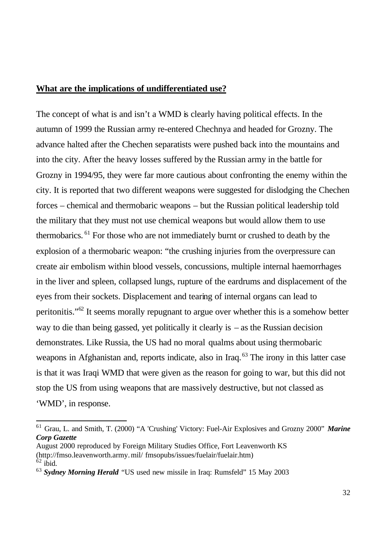#### **What are the implications of undifferentiated use?**

The concept of what is and isn't a WMD is clearly having political effects. In the autumn of 1999 the Russian army re-entered Chechnya and headed for Grozny. The advance halted after the Chechen separatists were pushed back into the mountains and into the city. After the heavy losses suffered by the Russian army in the battle for Grozny in 1994/95, they were far more cautious about confronting the enemy within the city. It is reported that two different weapons were suggested for dislodging the Chechen forces – chemical and thermobaric weapons – but the Russian political leadership told the military that they must not use chemical weapons but would allow them to use thermobarics. <sup>61</sup> For those who are not immediately burnt or crushed to death by the explosion of a thermobaric weapon: "the crushing injuries from the overpressure can create air embolism within blood vessels, concussions, multiple internal haemorrhages in the liver and spleen, collapsed lungs, rupture of the eardrums and displacement of the eyes from their sockets. Displacement and tearing of internal organs can lead to peritonitis."<sup>62</sup> It seems morally repugnant to argue over whether this is a somehow better way to die than being gassed, yet politically it clearly is – as the Russian decision demonstrates. Like Russia, the US had no moral qualms about using thermobaric weapons in Afghanistan and, reports indicate, also in Iraq.<sup>63</sup> The irony in this latter case is that it was Iraqi WMD that were given as the reason for going to war, but this did not stop the US from using weapons that are massively destructive, but not classed as 'WMD', in response.

<sup>61</sup> Grau, L. and Smith, T. (2000) "A 'Crushing' Victory: Fuel-Air Explosives and Grozny 2000" *Marine Corp Gazette*

August 2000 reproduced by Foreign Military Studies Office, Fort Leavenworth KS (http://fmso.leavenworth.army.mil/ fmsopubs/issues/fuelair/fuelair.htm)  $62$  ibid.

<sup>63</sup> *Sydney Morning Herald* "US used new missile in Iraq: Rumsfeld" 15 May 2003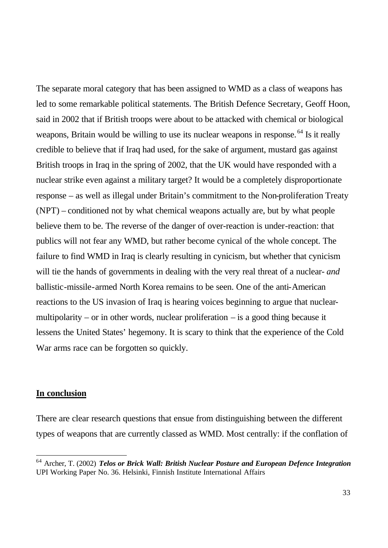The separate moral category that has been assigned to WMD as a class of weapons has led to some remarkable political statements. The British Defence Secretary, Geoff Hoon, said in 2002 that if British troops were about to be attacked with chemical or biological weapons, Britain would be willing to use its nuclear weapons in response.<sup>64</sup> Is it really credible to believe that if Iraq had used, for the sake of argument, mustard gas against British troops in Iraq in the spring of 2002, that the UK would have responded with a nuclear strike even against a military target? It would be a completely disproportionate response – as well as illegal under Britain's commitment to the Non-proliferation Treaty (NPT) – conditioned not by what chemical weapons actually are, but by what people believe them to be. The reverse of the danger of over-reaction is under-reaction: that publics will not fear any WMD, but rather become cynical of the whole concept. The failure to find WMD in Iraq is clearly resulting in cynicism, but whether that cynicism will tie the hands of governments in dealing with the very real threat of a nuclear- *and*  ballistic-missile-armed North Korea remains to be seen. One of the anti-American reactions to the US invasion of Iraq is hearing voices beginning to argue that nuclearmultipolarity – or in other words, nuclear proliferation – is a good thing because it lessens the United States' hegemony. It is scary to think that the experience of the Cold War arms race can be forgotten so quickly.

#### **In conclusion**

 $\overline{a}$ 

There are clear research questions that ensue from distinguishing between the different types of weapons that are currently classed as WMD. Most centrally: if the conflation of

<sup>64</sup> Archer, T. (2002) *Telos or Brick Wall: British Nuclear Posture and European Defence Integration* UPI Working Paper No. 36. Helsinki, Finnish Institute International Affairs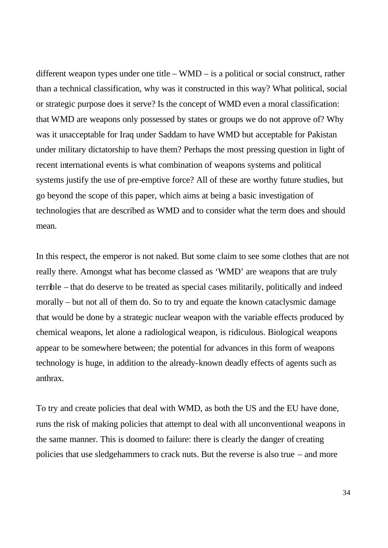different weapon types under one title – WMD – is a political or social construct, rather than a technical classification, why was it constructed in this way? What political, social or strategic purpose does it serve? Is the concept of WMD even a moral classification: that WMD are weapons only possessed by states or groups we do not approve of? Why was it unacceptable for Iraq under Saddam to have WMD but acceptable for Pakistan under military dictatorship to have them? Perhaps the most pressing question in light of recent international events is what combination of weapons systems and political systems justify the use of pre-emptive force? All of these are worthy future studies, but go beyond the scope of this paper, which aims at being a basic investigation of technologies that are described as WMD and to consider what the term does and should mean.

In this respect, the emperor is not naked. But some claim to see some clothes that are not really there. Amongst what has become classed as 'WMD' are weapons that are truly terrible – that do deserve to be treated as special cases militarily, politically and indeed morally – but not all of them do. So to try and equate the known cataclysmic damage that would be done by a strategic nuclear weapon with the variable effects produced by chemical weapons, let alone a radiological weapon, is ridiculous. Biological weapons appear to be somewhere between; the potential for advances in this form of weapons technology is huge, in addition to the already-known deadly effects of agents such as anthrax.

To try and create policies that deal with WMD, as both the US and the EU have done, runs the risk of making policies that attempt to deal with all unconventional weapons in the same manner. This is doomed to failure: there is clearly the danger of creating policies that use sledgehammers to crack nuts. But the reverse is also true – and more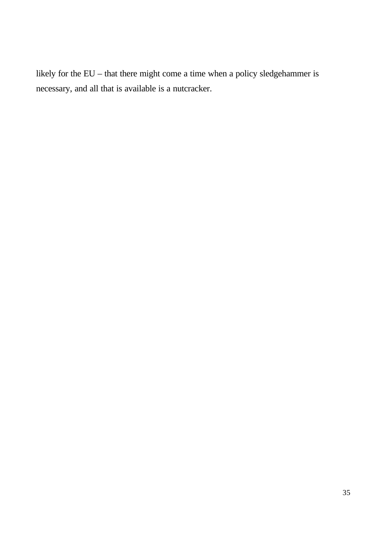likely for the EU – that there might come a time when a policy sledgehammer is necessary, and all that is available is a nutcracker.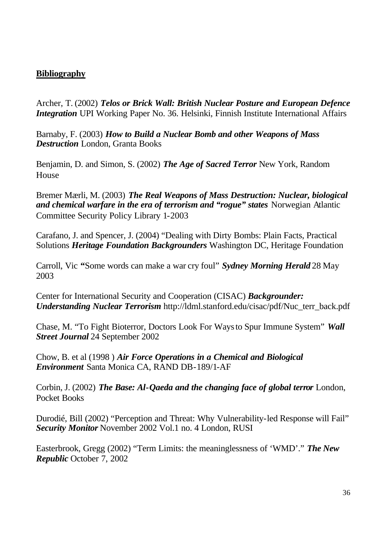## **Bibliography**

Archer, T. (2002) *Telos or Brick Wall: British Nuclear Posture and European Defence Integration* UPI Working Paper No. 36. Helsinki, Finnish Institute International Affairs

Barnaby, F. (2003) *How to Build a Nuclear Bomb and other Weapons of Mass Destruction* London, Granta Books

Benjamin, D. and Simon, S. (2002) *The Age of Sacred Terror* New York, Random House

Bremer Mærli, M. (2003) *The Real Weapons of Mass Destruction: Nuclear, biological and chemical warfare in the era of terrorism and "rogue" states* Norwegian Atlantic Committee Security Policy Library 1-2003

Carafano, J. and Spencer, J. (2004) "Dealing with Dirty Bombs: Plain Facts, Practical Solutions *Heritage Foundation Backgrounders* Washington DC, Heritage Foundation

Carroll, Vic **"**Some words can make a war cry foul" *Sydney Morning Herald* 28 May 2003

Center for International Security and Cooperation (CISAC) *Backgrounder: Understanding Nuclear Terrorism* http://ldml.stanford.edu/cisac/pdf/Nuc\_terr\_back.pdf

Chase, M. "To Fight Bioterror, Doctors Look For Ways to Spur Immune System" *Wall Street Journal* 24 September 2002

Chow, B. et al (1998 ) *Air Force Operations in a Chemical and Biological Environment* Santa Monica CA, RAND DB-189/1-AF

Corbin, J. (2002) *The Base: Al-Qaeda and the changing face of global terror* London, Pocket Books

Durodié, Bill (2002) "Perception and Threat: Why Vulnerability-led Response will Fail" *Security Monitor* November 2002 Vol.1 no. 4 London, RUSI

Easterbrook, Gregg (2002) "Term Limits: the meaninglessness of 'WMD'." *The New Republic* October 7, 2002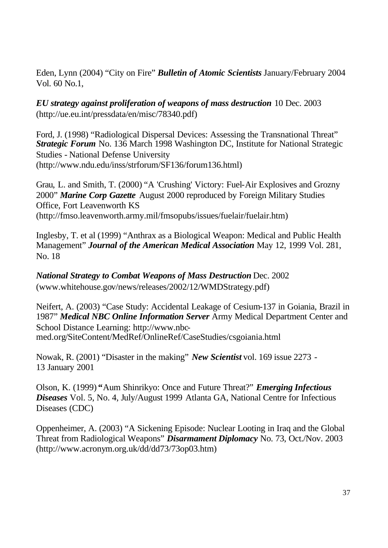Eden, Lynn (2004) "City on Fire" *Bulletin of Atomic Scientists* January/February 2004 Vol. 60 No.1,

*EU strategy against proliferation of weapons of mass destruction* 10 Dec. 2003 (http://ue.eu.int/pressdata/en/misc/78340.pdf)

Ford, J. (1998) "Radiological Dispersal Devices: Assessing the Transnational Threat" *Strategic Forum* No. 136 March 1998 Washington DC, Institute for National Strategic Studies - National Defense University (http://www.ndu.edu/inss/strforum/SF136/forum136.html)

Grau, L. and Smith, T. (2000) "A 'Crushing' Victory: Fuel-Air Explosives and Grozny 2000" *Marine Corp Gazette* August 2000 reproduced by Foreign Military Studies Office, Fort Leavenworth KS (http://fmso.leavenworth.army.mil/fmsopubs/issues/fuelair/fuelair.htm)

Inglesby, T. et al (1999) "Anthrax as a Biological Weapon: Medical and Public Health Management" *Journal of the American Medical Association* May 12, 1999 Vol. 281, No. 18

*National Strategy to Combat Weapons of Mass Destruction* Dec. 2002 (www.whitehouse.gov/news/releases/2002/12/WMDStrategy.pdf)

Neifert, A. (2003) "Case Study: Accidental Leakage of Cesium-137 in Goiania, Brazil in 1987" *Medical NBC Online Information Server* Army Medical Department Center and School Distance Learning: http://www.nbcmed.org/SiteContent/MedRef/OnlineRef/CaseStudies/csgoiania.html

Nowak, R. (2001) "Disaster in the making" *New Scientist* vol. 169 issue 2273 - 13 January 2001

Olson, K. (1999) **"**Aum Shinrikyo: Once and Future Threat?" *Emerging Infectious Diseases* Vol. 5, No. 4, July/August 1999 Atlanta GA, National Centre for Infectious Diseases (CDC)

Oppenheimer, A. (2003) "A Sickening Episode: Nuclear Looting in Iraq and the Global Threat from Radiological Weapons" *Disarmament Diplomacy* No. 73, Oct./Nov. 2003 (http://www.acronym.org.uk/dd/dd73/73op03.htm)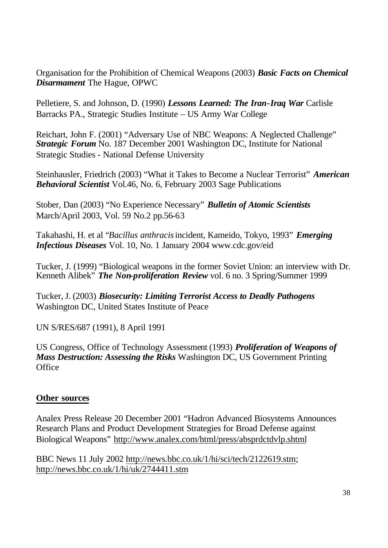Organisation for the Prohibition of Chemical Weapons (2003) *Basic Facts on Chemical Disarmament* The Hague, OPWC

Pelletiere, S. and Johnson, D. (1990) *Lessons Learned: The Iran-Iraq War* Carlisle Barracks PA., Strategic Studies Institute – US Army War College

Reichart, John F. (2001) "Adversary Use of NBC Weapons: A Neglected Challenge" *Strategic Forum* No. 187 December 2001 Washington DC, Institute for National Strategic Studies - National Defense University

Steinhausler, Friedrich (2003) "What it Takes to Become a Nuclear Terrorist" *American Behavioral Scientist* Vol.46, No. 6, February 2003 Sage Publications

Stober, Dan (2003) "No Experience Necessary" *Bulletin of Atomic Scientists* March/April 2003, Vol. 59 No.2 pp.56-63

Takahashi, H. et al "*Bacillus anthracis* incident, Kameido, Tokyo, 1993" *Emerging Infectious Diseases* Vol. 10, No. 1 January 2004 www.cdc.gov/eid

Tucker, J. (1999) "Biological weapons in the former Soviet Union: an interview with Dr. Kenneth Alibek" *The Non-proliferation Review* vol. 6 no. 3 Spring/Summer 1999

Tucker, J. (2003) *Biosecurity: Limiting Terrorist Access to Deadly Pathogens* Washington DC, United States Institute of Peace

UN S/RES/687 (1991), 8 April 1991

US Congress, Office of Technology Assessment (1993) *Proliferation of Weapons of Mass Destruction: Assessing the Risks* Washington DC, US Government Printing **Office** 

# **Other sources**

Analex Press Release 20 December 2001 "Hadron Advanced Biosystems Announces Research Plans and Product Development Strategies for Broad Defense against Biological Weapons" http://www.analex.com/html/press/absprdctdvlp.shtml

BBC News 11 July 2002 http://news.bbc.co.uk/1/hi/sci/tech/2122619.stm; http://news.bbc.co.uk/1/hi/uk/2744411.stm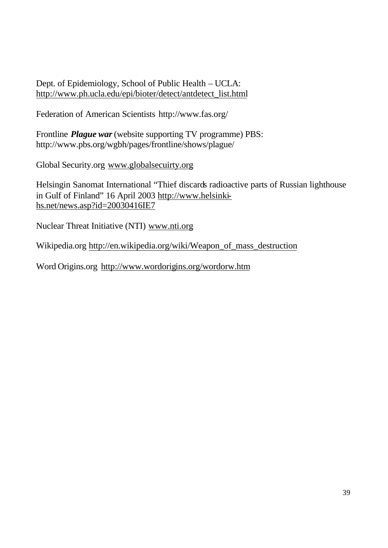Dept. of Epidemiology, School of Public Health – UCLA: http://www.ph.ucla.edu/epi/bioter/detect/antdetect\_list.html

Federation of American Scientists http://www.fas.org/

Frontline *Plague war* (website supporting TV programme) PBS: http://www.pbs.org/wgbh/pages/frontline/shows/plague/

Global Security.org www.globalsecuirty.org

Helsingin Sanomat International "Thief discards radioactive parts of Russian lighthouse in Gulf of Finland" 16 April 2003 http://www.helsinkihs.net/news.asp?id=20030416IE7

Nuclear Threat Initiative (NTI) www.nti.org

Wikipedia.org http://en.wikipedia.org/wiki/Weapon\_of\_mass\_destruction

Word Origins.org http://www.wordorigins.org/wordorw.htm